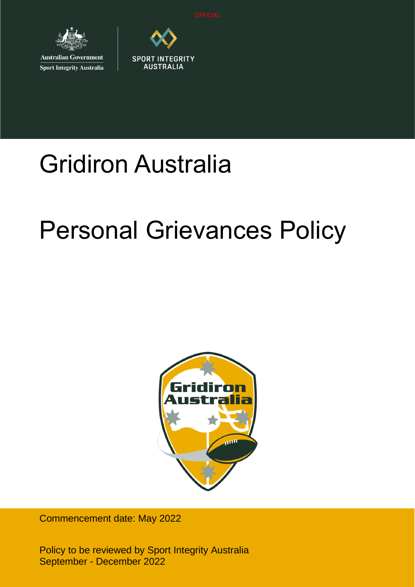

**Australian Government Sport Integrity Australia** 



# Gridiron Australia

# Personal Grievances Policy



Commencement date: May 2022

Policy to be reviewed by Sport Integrity Australia September - December 2022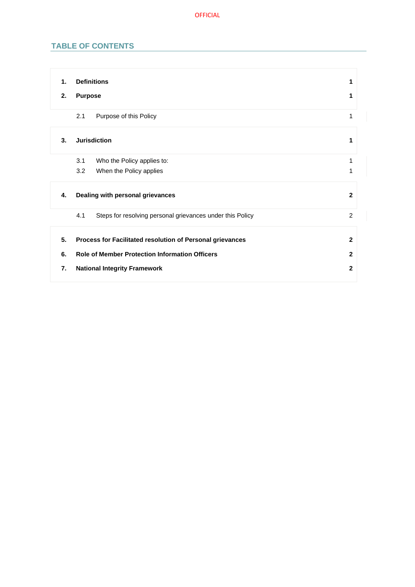# **TABLE OF CONTENTS**

| 1. | <b>Definitions</b>                                               | 1              |
|----|------------------------------------------------------------------|----------------|
| 2. | <b>Purpose</b>                                                   | 1              |
|    | Purpose of this Policy<br>2.1                                    | 1              |
| 3. | <b>Jurisdiction</b>                                              | 1              |
|    | Who the Policy applies to:<br>3.1                                | 1              |
|    | 3.2<br>When the Policy applies                                   | 1              |
| 4. | Dealing with personal grievances                                 | $\overline{2}$ |
|    | 4.1<br>Steps for resolving personal grievances under this Policy | 2              |
| 5. | Process for Facilitated resolution of Personal grievances        | $\mathbf{2}$   |
| 6. | <b>Role of Member Protection Information Officers</b>            | $\mathbf{2}$   |
|    |                                                                  |                |
| 7. | <b>National Integrity Framework</b>                              | $\mathbf{2}$   |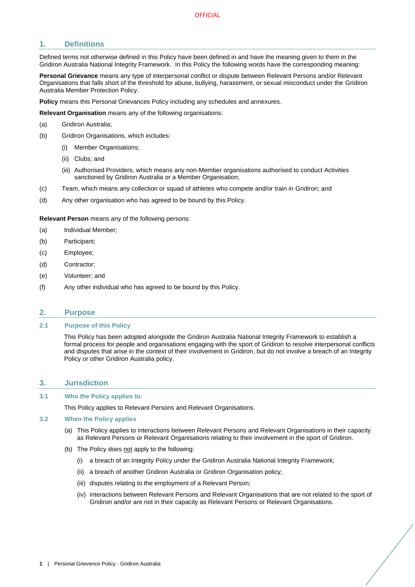# <span id="page-2-0"></span>**1. Definitions**

Defined terms not otherwise defined in this Policy have been defined in and have the meaning given to them in the Gridiron Australia National Integrity Framework. In this Policy the following words have the corresponding meaning:

**Personal Grievance** means any type of interpersonal conflict or dispute between Relevant Persons and/or Relevant Organisations that falls short of the threshold for abuse, bullying, harassment, or sexual misconduct under the Gridiron Australia Member Protection Policy.

**Policy** means this Personal Grievances Policy including any schedules and annexures.

**Relevant Organisation** means any of the following organisations:

- (a) Gridiron Australia;
- (b) Gridiron Organisations, which includes:
	- (i) Member Organisations;
	- (ii) Clubs; and
	- (iii) Authorised Providers, which means any non-Member organisations authorised to conduct Activities sanctioned by Gridiron Australia or a Member Organisation;
- (c) Team, which means any collection or squad of athletes who compete and/or train in Gridiron; and
- (d) Any other organisation who has agreed to be bound by this Policy.

**Relevant Person** means any of the following persons:

- (a) Individual Member;
- (b) Participant;
- (c) Employee;
- (d) Contractor;
- (e) Volunteer; and
- (f) Any other individual who has agreed to be bound by this Policy.

#### <span id="page-2-1"></span>**2. Purpose**

### <span id="page-2-2"></span>**2.1 Purpose of this Policy**

This Policy has been adopted alongside the Gridiron Australia National Integrity Framework to establish a formal process for people and organisations engaging with the sport of Gridiron to resolve interpersonal conflicts and disputes that arise in the context of their involvement in Gridiron, but do not involve a breach of an Integrity Policy or other Gridiron Australia policy.

#### <span id="page-2-3"></span>**3. Jurisdiction**

#### <span id="page-2-4"></span>**3.1 Who the Policy applies to:**

This Policy applies to Relevant Persons and Relevant Organisations.

#### <span id="page-2-5"></span>**3.2 When the Policy applies**

- (a) This Policy applies to interactions between Relevant Persons and Relevant Organisations in their capacity as Relevant Persons or Relevant Organisations relating to their involvement in the sport of Gridiron.
- (b) The Policy does not apply to the following:
	- (i) a breach of an Integrity Policy under the Gridiron Australia National Integrity Framework;
	- (ii) a breach of another Gridiron Australia or Gridiron Organisation policy;
	- (iii) disputes relating to the employment of a Relevant Person;
	- (iv) interactions between Relevant Persons and Relevant Organisations that are not related to the sport of Gridiron and/or are not in their capacity as Relevant Persons or Relevant Organisations.